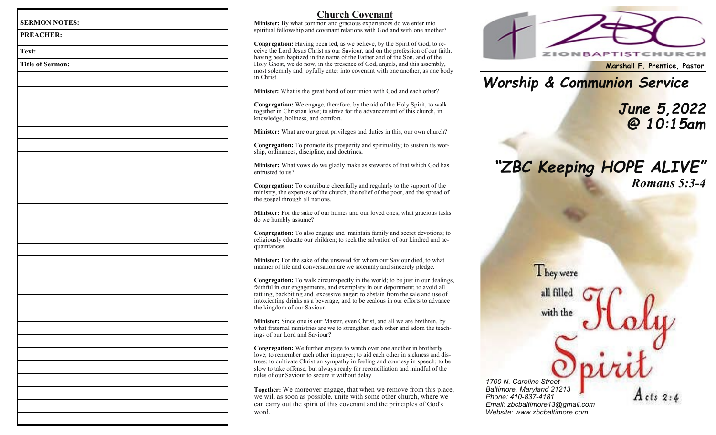| <b>PREACHER:</b>        |  |  |
|-------------------------|--|--|
| Text:                   |  |  |
| <b>Title of Sermon:</b> |  |  |
|                         |  |  |
|                         |  |  |
|                         |  |  |
|                         |  |  |
|                         |  |  |
|                         |  |  |
|                         |  |  |
|                         |  |  |
|                         |  |  |
|                         |  |  |
|                         |  |  |
|                         |  |  |
|                         |  |  |
|                         |  |  |
|                         |  |  |
|                         |  |  |
|                         |  |  |
|                         |  |  |
|                         |  |  |
|                         |  |  |
|                         |  |  |
|                         |  |  |
|                         |  |  |
|                         |  |  |
|                         |  |  |
|                         |  |  |
|                         |  |  |
|                         |  |  |

# **Church Covenan t**

Minister: By what common and gracious experiences do we enter into spiritual fellowship and covenant relations with God and with one another?

Congregation: Having been led, as we believe, by the Spirit of God, to receive the Lord Jesus Christ as our Saviour, and on the profession of our faith, having been baptiz ed in the name of the Father and of the Son, and of the Holy Ghost, we do now, in the presence of God, angels, and this assembly, most so lemnly and joyfu l ly enter into c o ven ant with one ano ther, as o ne body in Christ.

**Minister:** What is the great bond of our union with God and each other?

**Congregation:** We engag e, therefore, by the aid of the Holy Spirit, to walk together in Christian love; to strive for the ad vancement of this church, in knowledge, holiness, and comfort.

Minister: What are our great privileges and duties in this, our own church?

Congregation: To promote its prosperity and spirituality; to sustain its worship, ordinances, discipline, and doctrines**.**

**Minister:** What vows do we g ladly make as stewards of that which God has entrusted to us?

Congregation: To contribute cheerfully and regularly to the support of the ministry, the expenses of the church, the relief of the poor, and the spread of the gospel through all na tions.

Minister: For the sake of our homes and our loved ones, what gracious tasks do we h umbly assume?

Congregation: To also engage and maintain family and secret devotions; to religiously educate our children; to seek the salvation of our kindred and acquaintances.

**Minister:** For the sake of the unsaved for whom our Saviour died, to what manner of life and conversation are we solemnly and sincerely pledge.

Congregation: To walk circumspectly in the world; to be just in our dealings, faithful in our engagements, and exemplary in our deportment; to avoid all t attling, bac kbiting an d. excess ive anger; to abstain from the sale and use of intoxic ating drinks as a beverage**,** and to be zealous in our efforts to ad vance t he kingdom of our Saviour .

Minister: Since one is our Master, even Christ, and all we are brethren, by what fraternal ministries are we to strengthen each other and adorn the teachings of our Lord and Saviour**?**

Congregation: We further engage to watch over one another in brotherly love; to remember each other in prayer; to aid each other in sickness and distress; to cultivate Christian sympathy in feeling and courtesy in speech; to be slow to take offense, but always ready for reconciliation and mindful of the rules of our Saviour to secure it without delay.

Together: We moreover engage, that when we remove from this place, we will as soon as possible. unite with some other church, where we can ca r ry out the spirit of this covenant and the p rincip les of God's word .



**Marshall F. Prentice, Pastor**

*Worship & Communion Service*

*June 5,2022 @ 10:15am*

# *"ZBC Keeping HOPE ALIVE " Romans 5:3 - 4*

They were all filled

with the

*1700 N. Caroline Street Baltimore, Maryland 21213 Phone: 410 -837 -4181 Email: zbcbaltimore13@gmail.com Website: www.zbcbaltimore.com*